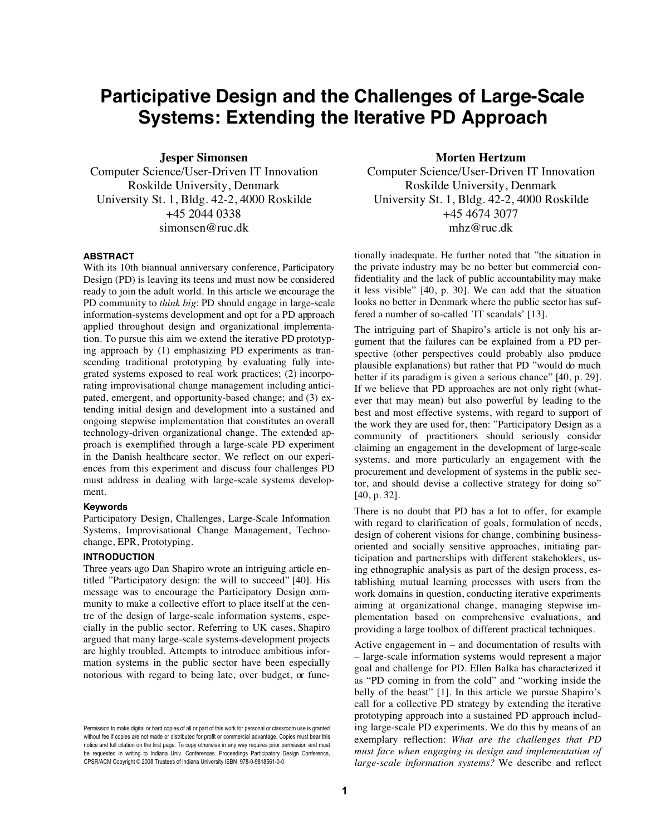# **Participative Design and the Challenges of Large-Scale Systems: Extending the Iterative PD Approach**

**Jesper Simonsen** 

Computer Science/User-Driven IT Innovation Roskilde University, Denmark University St. 1, Bldg. 42-2, 4000 Roskilde +45 2044 0338 simonsen@ruc.dk

## **ABSTRACT**

With its 10th biannual anniversary conference, Participatory Design (PD) is leaving its teens and must now be considered ready to join the adult world. In this article we encourage the PD community to *think big*: PD should engage in large-scale information-systems development and opt for a PD approach applied throughout design and organizational implementation. To pursue this aim we extend the iterative PD prototyping approach by (1) emphasizing PD experiments as transcending traditional prototyping by evaluating fully integrated systems exposed to real work practices; (2) incorporating improvisational change management including anticipated, emergent, and opportunity-based change; and (3) extending initial design and development into a sustained and ongoing stepwise implementation that constitutes an overall technology-driven organizational change. The extended approach is exemplified through a large-scale PD experiment in the Danish healthcare sector. We reflect on our experiences from this experiment and discuss four challenges PD must address in dealing with large-scale systems development.

#### **Keywords**

Participatory Design, Challenges, Large-Scale Information Systems, Improvisational Change Management, Technochange, EPR, Prototyping.

# **INTRODUCTION**

Three years ago Dan Shapiro wrote an intriguing article entitled "Participatory design: the will to succeed" [40]. His message was to encourage the Participatory Design community to make a collective effort to place itself at the centre of the design of large-scale information systems, especially in the public sector. Referring to UK cases, Shapiro argued that many large-scale systems-development projects are highly troubled. Attempts to introduce ambitious information systems in the public sector have been especially notorious with regard to being late, over budget, or func**Morten Hertzum** 

Computer Science/User-Driven IT Innovation Roskilde University, Denmark University St. 1, Bldg. 42-2, 4000 Roskilde +45 4674 3077 mhz@ruc.dk

tionally inadequate. He further noted that "the situation in the private industry may be no better but commercial confidentiality and the lack of public accountability may make it less visible" [40, p. 30]. We can add that the situation looks no better in Denmark where the public sector has suffered a number of so-called 'IT scandals' [13].

The intriguing part of Shapiro's article is not only his argument that the failures can be explained from a PD perspective (other perspectives could probably also produce plausible explanations) but rather that PD "would do much better if its paradigm is given a serious chance" [40, p. 29]. If we believe that PD approaches are not only right (whatever that may mean) but also powerful by leading to the best and most effective systems, with regard to support of the work they are used for, then: "Participatory Design as a community of practitioners should seriously consider claiming an engagement in the development of large-scale systems, and more particularly an engagement with the procurement and development of systems in the public sector, and should devise a collective strategy for doing so" [40, p. 32].

There is no doubt that PD has a lot to offer, for example with regard to clarification of goals, formulation of needs, design of coherent visions for change, combining businessoriented and socially sensitive approaches, initiating participation and partnerships with different stakeholders, using ethnographic analysis as part of the design process, establishing mutual learning processes with users from the work domains in question, conducting iterative experiments aiming at organizational change, managing stepwise implementation based on comprehensive evaluations, and providing a large toolbox of different practical techniques.

Active engagement in – and documentation of results with – large-scale information systems would represent a major goal and challenge for PD. Ellen Balka has characterized it as "PD coming in from the cold" and "working inside the belly of the beast" [1]. In this article we pursue Shapiro's call for a collective PD strategy by extending the iterative prototyping approach into a sustained PD approach including large-scale PD experiments. We do this by means of an exemplary reflection: *What are the challenges that PD must face when engaging in design and implementation of large-scale information systems?* We describe and reflect

Permission to make digital or hard copies of all or part of this work for personal or classroom use is granted without fee if copies are not made or distributed for profit or commercial advantage. Copies must bear this notice and full citation on the first page. To copy otherwise in any way requires prior permission and must be requested in writing to Indiana Univ. Conferences. Proceedings Participatory Design Conference, CPSR/ACM Copyright © 2008 Trustees of Indiana University ISBN 978-0-9818561-0-0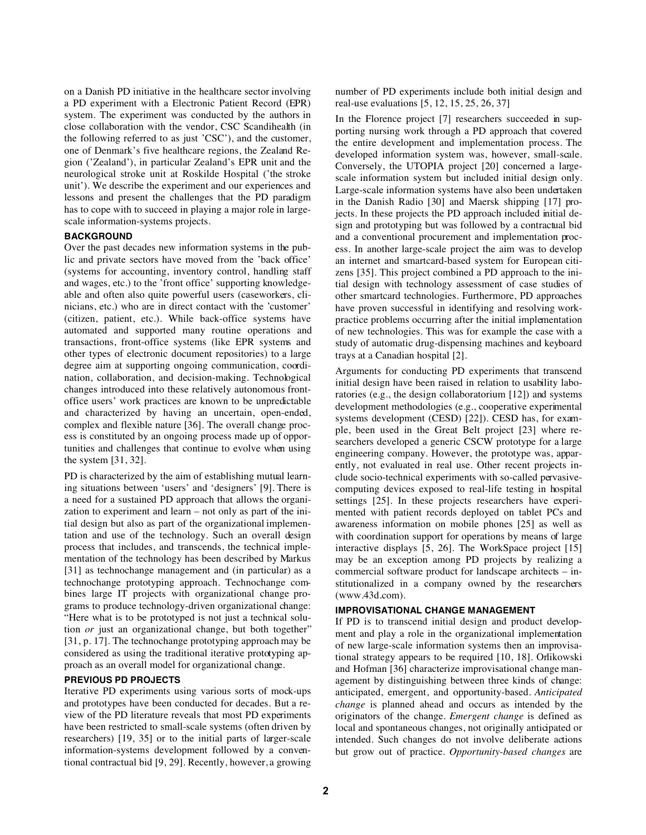on a Danish PD initiative in the healthcare sector involving a PD experiment with a Electronic Patient Record (EPR) system. The experiment was conducted by the authors in close collaboration with the vendor, CSC Scandihealth (in the following referred to as just 'CSC'), and the customer, one of Denmark's five healthcare regions, the Zealand Region ('Zealand'), in particular Zealand's EPR unit and the neurological stroke unit at Roskilde Hospital ('the stroke unit'). We describe the experiment and our experiences and lessons and present the challenges that the PD paradigm has to cope with to succeed in playing a major role in largescale information-systems projects.

## **BACKGROUND**

Over the past decades new information systems in the public and private sectors have moved from the 'back office' (systems for accounting, inventory control, handling staff and wages, etc.) to the 'front office' supporting knowledgeable and often also quite powerful users (caseworkers, clinicians, etc.) who are in direct contact with the 'customer' (citizen, patient, etc.). While back-office systems have automated and supported many routine operations and transactions, front-office systems (like EPR systems and other types of electronic document repositories) to a large degree aim at supporting ongoing communication, coordination, collaboration, and decision-making. Technological changes introduced into these relatively autonomous frontoffice users' work practices are known to be unpredictable and characterized by having an uncertain, open-ended, complex and flexible nature [36]. The overall change process is constituted by an ongoing process made up of opportunities and challenges that continue to evolve when using the system [31, 32].

PD is characterized by the aim of establishing mutual learning situations between 'users' and 'designers' [9]. There is a need for a sustained PD approach that allows the organization to experiment and learn – not only as part of the initial design but also as part of the organizational implementation and use of the technology. Such an overall design process that includes, and transcends, the technical implementation of the technology has been described by Markus [31] as technochange management and (in particular) as a technochange prototyping approach. Technochange combines large IT projects with organizational change programs to produce technology-driven organizational change: "Here what is to be prototyped is not just a technical solution *or* just an organizational change, but both together" [31, p. 17]. The technochange prototyping approach may be considered as using the traditional iterative prototyping approach as an overall model for organizational change.

## **PREVIOUS PD PROJECTS**

Iterative PD experiments using various sorts of mock-ups and prototypes have been conducted for decades. But a review of the PD literature reveals that most PD experiments have been restricted to small-scale systems (often driven by researchers) [19, 35] or to the initial parts of larger-scale information-systems development followed by a conventional contractual bid [9, 29]. Recently, however, a growing number of PD experiments include both initial design and real-use evaluations [5, 12, 15, 25, 26, 37]

In the Florence project [7] researchers succeeded in supporting nursing work through a PD approach that covered the entire development and implementation process. The developed information system was, however, small-scale. Conversely, the UTOPIA project [20] concerned a largescale information system but included initial design only. Large-scale information systems have also been undertaken in the Danish Radio [30] and Maersk shipping [17] projects. In these projects the PD approach included initial design and prototyping but was followed by a contractual bid and a conventional procurement and implementation process. In another large-scale project the aim was to develop an internet and smartcard-based system for European citizens [35]. This project combined a PD approach to the initial design with technology assessment of case studies of other smartcard technologies. Furthermore, PD approaches have proven successful in identifying and resolving workpractice problems occurring after the initial implementation of new technologies. This was for example the case with a study of automatic drug-dispensing machines and keyboard trays at a Canadian hospital [2].

Arguments for conducting PD experiments that transcend initial design have been raised in relation to usability laboratories (e.g., the design collaboratorium [12]) and systems development methodologies (e.g., cooperative experimental systems development (CESD) [22]). CESD has, for example, been used in the Great Belt project [23] where researchers developed a generic CSCW prototype for a large engineering company. However, the prototype was, apparently, not evaluated in real use. Other recent projects include socio-technical experiments with so-called pervasivecomputing devices exposed to real-life testing in hospital settings [25]. In these projects researchers have experimented with patient records deployed on tablet PCs and awareness information on mobile phones [25] as well as with coordination support for operations by means of large interactive displays [5, 26]. The WorkSpace project [15] may be an exception among PD projects by realizing a commercial software product for landscape architects – institutionalized in a company owned by the researchers (www.43d.com).

# **IMPROVISATIONAL CHANGE MANAGEMENT**

If PD is to transcend initial design and product development and play a role in the organizational implementation of new large-scale information systems then an improvisational strategy appears to be required [10, 18]. Orlikowski and Hofman [36] characterize improvisational change management by distinguishing between three kinds of change: anticipated, emergent, and opportunity-based. *Anticipated change* is planned ahead and occurs as intended by the originators of the change. *Emergent change* is defined as local and spontaneous changes, not originally anticipated or intended. Such changes do not involve deliberate actions but grow out of practice. *Opportunity-based changes* are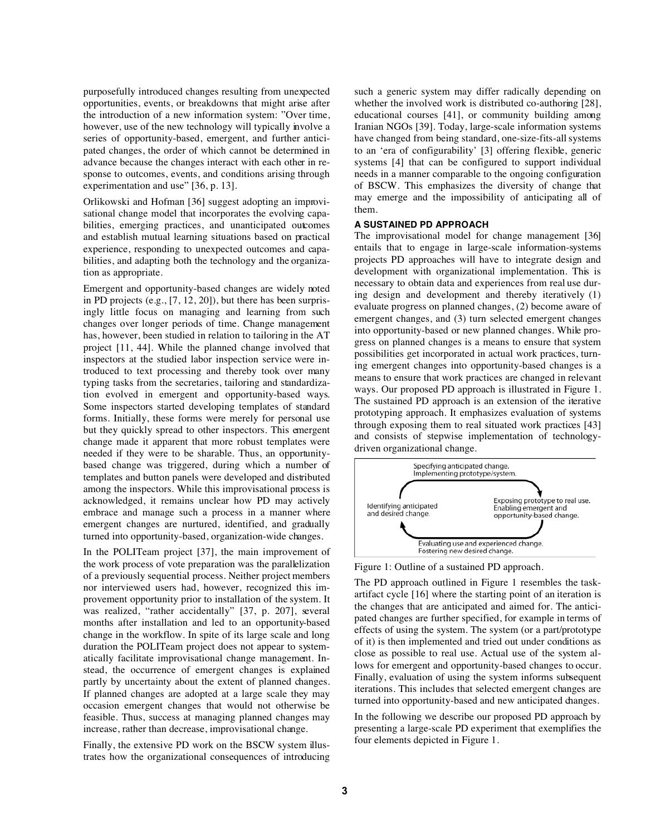purposefully introduced changes resulting from unexpected opportunities, events, or breakdowns that might arise after the introduction of a new information system: "Over time, however, use of the new technology will typically involve a series of opportunity-based, emergent, and further anticipated changes, the order of which cannot be determined in advance because the changes interact with each other in response to outcomes, events, and conditions arising through experimentation and use" [36, p. 13].

Orlikowski and Hofman [36] suggest adopting an improvisational change model that incorporates the evolving capabilities, emerging practices, and unanticipated outcomes and establish mutual learning situations based on practical experience, responding to unexpected outcomes and capabilities, and adapting both the technology and the organization as appropriate.

Emergent and opportunity-based changes are widely noted in PD projects (e.g., [7, 12, 20]), but there has been surprisingly little focus on managing and learning from such changes over longer periods of time. Change management has, however, been studied in relation to tailoring in the AT project [11, 44]. While the planned change involved that inspectors at the studied labor inspection service were introduced to text processing and thereby took over many typing tasks from the secretaries, tailoring and standardization evolved in emergent and opportunity-based ways. Some inspectors started developing templates of standard forms. Initially, these forms were merely for personal use but they quickly spread to other inspectors. This emergent change made it apparent that more robust templates were needed if they were to be sharable. Thus, an opportunitybased change was triggered, during which a number of templates and button panels were developed and distributed among the inspectors. While this improvisational process is acknowledged, it remains unclear how PD may actively embrace and manage such a process in a manner where emergent changes are nurtured, identified, and gradually turned into opportunity-based, organization-wide changes.

In the POLITeam project [37], the main improvement of the work process of vote preparation was the parallelization of a previously sequential process. Neither project members nor interviewed users had, however, recognized this improvement opportunity prior to installation of the system. It was realized, "rather accidentally" [37, p. 207], several months after installation and led to an opportunity-based change in the workflow. In spite of its large scale and long duration the POLITeam project does not appear to systematically facilitate improvisational change management. Instead, the occurrence of emergent changes is explained partly by uncertainty about the extent of planned changes. If planned changes are adopted at a large scale they may occasion emergent changes that would not otherwise be feasible. Thus, success at managing planned changes may increase, rather than decrease, improvisational change.

Finally, the extensive PD work on the BSCW system illustrates how the organizational consequences of introducing such a generic system may differ radically depending on whether the involved work is distributed co-authoring [28], educational courses [41], or community building among Iranian NGOs [39]. Today, large-scale information systems have changed from being standard, one-size-fits-all systems to an 'era of configurability' [3] offering flexible, generic systems [4] that can be configured to support individual needs in a manner comparable to the ongoing configuration of BSCW. This emphasizes the diversity of change that may emerge and the impossibility of anticipating all of them.

## **A SUSTAINED PD APPROACH**

The improvisational model for change management [36] entails that to engage in large-scale information-systems projects PD approaches will have to integrate design and development with organizational implementation. This is necessary to obtain data and experiences from real use during design and development and thereby iteratively (1) evaluate progress on planned changes, (2) become aware of emergent changes, and (3) turn selected emergent changes into opportunity-based or new planned changes. While progress on planned changes is a means to ensure that system possibilities get incorporated in actual work practices, turning emergent changes into opportunity-based changes is a means to ensure that work practices are changed in relevant ways. Our proposed PD approach is illustrated in Figure 1. The sustained PD approach is an extension of the iterative prototyping approach. It emphasizes evaluation of systems through exposing them to real situated work practices [43] and consists of stepwise implementation of technologydriven organizational change.



Figure 1: Outline of a sustained PD approach.

The PD approach outlined in Figure 1 resembles the taskartifact cycle [16] where the starting point of an iteration is the changes that are anticipated and aimed for. The anticipated changes are further specified, for example in terms of effects of using the system. The system (or a part/prototype of it) is then implemented and tried out under conditions as close as possible to real use. Actual use of the system allows for emergent and opportunity-based changes to occur. Finally, evaluation of using the system informs subsequent iterations. This includes that selected emergent changes are turned into opportunity-based and new anticipated changes.

In the following we describe our proposed PD approach by presenting a large-scale PD experiment that exemplifies the four elements depicted in Figure 1.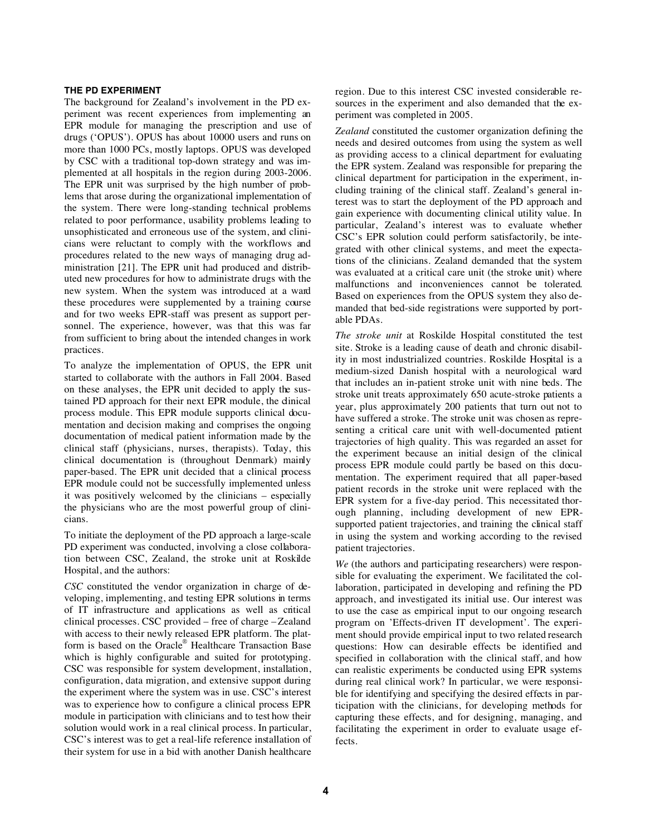# **THE PD EXPERIMENT**

The background for Zealand's involvement in the PD experiment was recent experiences from implementing an EPR module for managing the prescription and use of drugs ('OPUS'). OPUS has about 10000 users and runs on more than 1000 PCs, mostly laptops. OPUS was developed by CSC with a traditional top-down strategy and was implemented at all hospitals in the region during 2003-2006. The EPR unit was surprised by the high number of problems that arose during the organizational implementation of the system. There were long-standing technical problems related to poor performance, usability problems leading to unsophisticated and erroneous use of the system, and clinicians were reluctant to comply with the workflows and procedures related to the new ways of managing drug administration [21]. The EPR unit had produced and distributed new procedures for how to administrate drugs with the new system. When the system was introduced at a ward these procedures were supplemented by a training course and for two weeks EPR-staff was present as support personnel. The experience, however, was that this was far from sufficient to bring about the intended changes in work practices.

To analyze the implementation of OPUS, the EPR unit started to collaborate with the authors in Fall 2004. Based on these analyses, the EPR unit decided to apply the sustained PD approach for their next EPR module, the dinical process module. This EPR module supports clinical documentation and decision making and comprises the ongoing documentation of medical patient information made by the clinical staff (physicians, nurses, therapists). Today, this clinical documentation is (throughout Denmark) mainly paper-based. The EPR unit decided that a clinical process EPR module could not be successfully implemented unless it was positively welcomed by the clinicians – especially the physicians who are the most powerful group of clinicians.

To initiate the deployment of the PD approach a large-scale PD experiment was conducted, involving a close collaboration between CSC, Zealand, the stroke unit at Roskilde Hospital, and the authors:

*CSC* constituted the vendor organization in charge of developing, implementing, and testing EPR solutions in terms of IT infrastructure and applications as well as critical clinical processes. CSC provided – free of charge – Zealand with access to their newly released EPR platform. The platform is based on the Oracle® Healthcare Transaction Base which is highly configurable and suited for prototyping. CSC was responsible for system development, installation, configuration, data migration, and extensive support during the experiment where the system was in use. CSC's interest was to experience how to configure a clinical process EPR module in participation with clinicians and to test how their solution would work in a real clinical process. In particular, CSC's interest was to get a real-life reference installation of their system for use in a bid with another Danish healthcare region. Due to this interest CSC invested considerable resources in the experiment and also demanded that the experiment was completed in 2005.

*Zealand* constituted the customer organization defining the needs and desired outcomes from using the system as well as providing access to a clinical department for evaluating the EPR system. Zealand was responsible for preparing the clinical department for participation in the experiment, including training of the clinical staff. Zealand's general interest was to start the deployment of the PD approach and gain experience with documenting clinical utility value. In particular, Zealand's interest was to evaluate whether CSC's EPR solution could perform satisfactorily, be integrated with other clinical systems, and meet the expectations of the clinicians. Zealand demanded that the system was evaluated at a critical care unit (the stroke unit) where malfunctions and inconveniences cannot be tolerated. Based on experiences from the OPUS system they also demanded that bed-side registrations were supported by portable PDAs.

*The stroke unit* at Roskilde Hospital constituted the test site. Stroke is a leading cause of death and chronic disability in most industrialized countries. Roskilde Hospital is a medium-sized Danish hospital with a neurological ward that includes an in-patient stroke unit with nine beds. The stroke unit treats approximately 650 acute-stroke patients a year, plus approximately 200 patients that turn out not to have suffered a stroke. The stroke unit was chosen as representing a critical care unit with well-documented patient trajectories of high quality. This was regarded an asset for the experiment because an initial design of the clinical process EPR module could partly be based on this documentation. The experiment required that all paper-based patient records in the stroke unit were replaced with the EPR system for a five-day period. This necessitated thorough planning, including development of new EPRsupported patient trajectories, and training the clinical staff in using the system and working according to the revised patient trajectories.

*We* (the authors and participating researchers) were responsible for evaluating the experiment. We facilitated the collaboration, participated in developing and refining the PD approach, and investigated its initial use. Our interest was to use the case as empirical input to our ongoing research program on 'Effects-driven IT development'. The experiment should provide empirical input to two related research questions: How can desirable effects be identified and specified in collaboration with the clinical staff, and how can realistic experiments be conducted using EPR systems during real clinical work? In particular, we were responsible for identifying and specifying the desired effects in participation with the clinicians, for developing methods for capturing these effects, and for designing, managing, and facilitating the experiment in order to evaluate usage effects.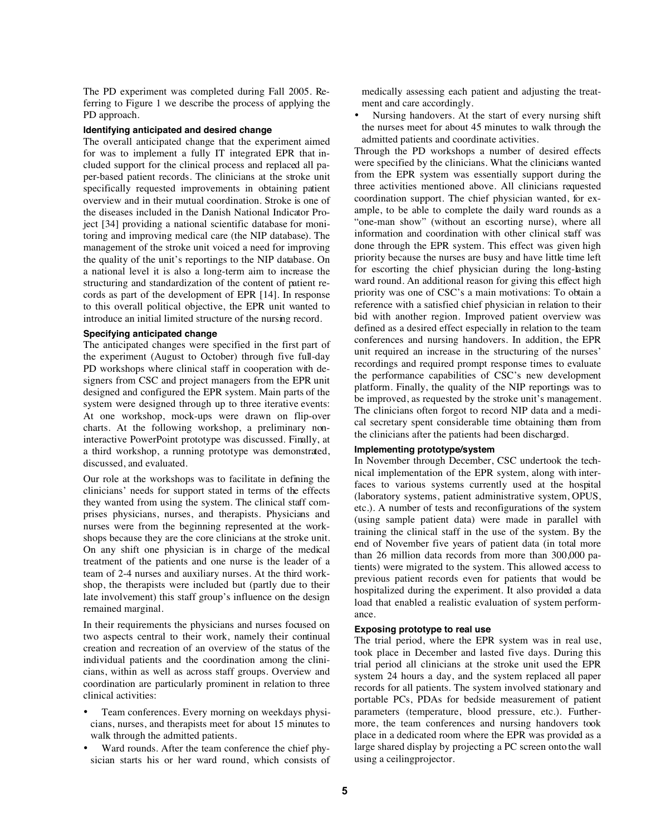The PD experiment was completed during Fall 2005. Referring to Figure 1 we describe the process of applying the PD approach.

### **Identifying anticipated and desired change**

The overall anticipated change that the experiment aimed for was to implement a fully IT integrated EPR that included support for the clinical process and replaced all paper-based patient records. The clinicians at the stroke unit specifically requested improvements in obtaining patient overview and in their mutual coordination. Stroke is one of the diseases included in the Danish National Indicator Project [34] providing a national scientific database for monitoring and improving medical care (the NIP database). The management of the stroke unit voiced a need for improving the quality of the unit's reportings to the NIP database. On a national level it is also a long-term aim to increase the structuring and standardization of the content of patient records as part of the development of EPR [14]. In response to this overall political objective, the EPR unit wanted to introduce an initial limited structure of the nursing record.

#### **Specifying anticipated change**

The anticipated changes were specified in the first part of the experiment (August to October) through five full-day PD workshops where clinical staff in cooperation with designers from CSC and project managers from the EPR unit designed and configured the EPR system. Main parts of the system were designed through up to three iterative events: At one workshop, mock-ups were drawn on flip-over charts. At the following workshop, a preliminary noninteractive PowerPoint prototype was discussed. Finally, at a third workshop, a running prototype was demonstrated, discussed, and evaluated.

Our role at the workshops was to facilitate in defining the clinicians' needs for support stated in terms of the effects they wanted from using the system. The clinical staff comprises physicians, nurses, and therapists. Physicians and nurses were from the beginning represented at the workshops because they are the core clinicians at the stroke unit. On any shift one physician is in charge of the medical treatment of the patients and one nurse is the leader of a team of 2-4 nurses and auxiliary nurses. At the third workshop, the therapists were included but (partly due to their late involvement) this staff group's influence on the design remained marginal.

In their requirements the physicians and nurses focused on two aspects central to their work, namely their continual creation and recreation of an overview of the status of the individual patients and the coordination among the clinicians, within as well as across staff groups. Overview and coordination are particularly prominent in relation to three clinical activities:

- Team conferences. Every morning on weekdays physicians, nurses, and therapists meet for about 15 minutes to walk through the admitted patients.
- Ward rounds. After the team conference the chief physician starts his or her ward round, which consists of

medically assessing each patient and adjusting the treatment and care accordingly.

Nursing handovers. At the start of every nursing shift the nurses meet for about 45 minutes to walk through the admitted patients and coordinate activities.

Through the PD workshops a number of desired effects were specified by the clinicians. What the clinicians wanted from the EPR system was essentially support during the three activities mentioned above. All clinicians requested coordination support. The chief physician wanted, for example, to be able to complete the daily ward rounds as a "one-man show" (without an escorting nurse), where all information and coordination with other clinical staff was done through the EPR system. This effect was given high priority because the nurses are busy and have little time left for escorting the chief physician during the long-lasting ward round. An additional reason for giving this effect high priority was one of CSC's a main motivations: To obtain a reference with a satisfied chief physician in relation to their bid with another region. Improved patient overview was defined as a desired effect especially in relation to the team conferences and nursing handovers. In addition, the EPR unit required an increase in the structuring of the nurses' recordings and required prompt response times to evaluate the performance capabilities of CSC's new development platform. Finally, the quality of the NIP reportings was to be improved, as requested by the stroke unit's management. The clinicians often forgot to record NIP data and a medical secretary spent considerable time obtaining them from the clinicians after the patients had been discharged.

#### **Implementing prototype/system**

In November through December, CSC undertook the technical implementation of the EPR system, along with interfaces to various systems currently used at the hospital (laboratory systems, patient administrative system, OPUS, etc.). A number of tests and reconfigurations of the system (using sample patient data) were made in parallel with training the clinical staff in the use of the system. By the end of November five years of patient data (in total more than 26 million data records from more than 300,000 patients) were migrated to the system. This allowed access to previous patient records even for patients that would be hospitalized during the experiment. It also provided a data load that enabled a realistic evaluation of system performance.

# **Exposing prototype to real use**

The trial period, where the EPR system was in real use, took place in December and lasted five days. During this trial period all clinicians at the stroke unit used the EPR system 24 hours a day, and the system replaced all paper records for all patients. The system involved stationary and portable PCs, PDAs for bedside measurement of patient parameters (temperature, blood pressure, etc.). Furthermore, the team conferences and nursing handovers took place in a dedicated room where the EPR was provided as a large shared display by projecting a PC screen onto the wall using a ceilingprojector.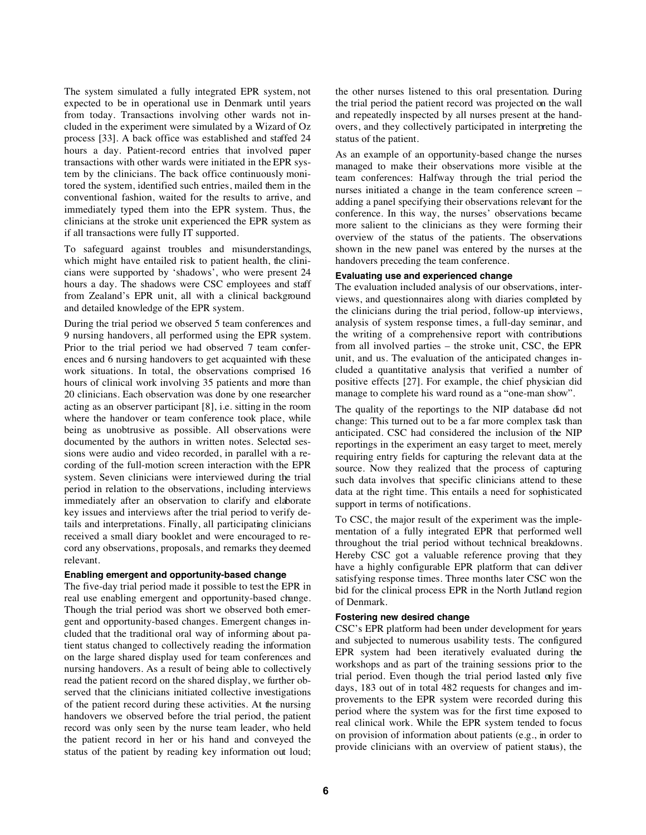The system simulated a fully integrated EPR system, not expected to be in operational use in Denmark until years from today. Transactions involving other wards not included in the experiment were simulated by a Wizard of Oz process [33]. A back office was established and staffed 24 hours a day. Patient-record entries that involved paper transactions with other wards were initiated in the EPR system by the clinicians. The back office continuously monitored the system, identified such entries, mailed them in the conventional fashion, waited for the results to arrive, and immediately typed them into the EPR system. Thus, the clinicians at the stroke unit experienced the EPR system as if all transactions were fully IT supported.

To safeguard against troubles and misunderstandings, which might have entailed risk to patient health, the clinicians were supported by 'shadows', who were present 24 hours a day. The shadows were CSC employees and staff from Zealand's EPR unit, all with a clinical background and detailed knowledge of the EPR system.

During the trial period we observed 5 team conferences and 9 nursing handovers, all performed using the EPR system. Prior to the trial period we had observed 7 team conferences and 6 nursing handovers to get acquainted with these work situations. In total, the observations comprised 16 hours of clinical work involving 35 patients and more than 20 clinicians. Each observation was done by one researcher acting as an observer participant [8], i.e. sitting in the room where the handover or team conference took place, while being as unobtrusive as possible. All observations were documented by the authors in written notes. Selected sessions were audio and video recorded, in parallel with a recording of the full-motion screen interaction with the EPR system. Seven clinicians were interviewed during the trial period in relation to the observations, including interviews immediately after an observation to clarify and elaborate key issues and interviews after the trial period to verify details and interpretations. Finally, all participating clinicians received a small diary booklet and were encouraged to record any observations, proposals, and remarks they deemed relevant.

### **Enabling emergent and opportunity-based change**

The five-day trial period made it possible to test the EPR in real use enabling emergent and opportunity-based change. Though the trial period was short we observed both emergent and opportunity-based changes. Emergent changes included that the traditional oral way of informing about patient status changed to collectively reading the information on the large shared display used for team conferences and nursing handovers. As a result of being able to collectively read the patient record on the shared display, we further observed that the clinicians initiated collective investigations of the patient record during these activities. At the nursing handovers we observed before the trial period, the patient record was only seen by the nurse team leader, who held the patient record in her or his hand and conveyed the status of the patient by reading key information out loud; the other nurses listened to this oral presentation. During the trial period the patient record was projected on the wall and repeatedly inspected by all nurses present at the handovers, and they collectively participated in interpreting the status of the patient.

As an example of an opportunity-based change the nurses managed to make their observations more visible at the team conferences: Halfway through the trial period the nurses initiated a change in the team conference screen – adding a panel specifying their observations relevant for the conference. In this way, the nurses' observations became more salient to the clinicians as they were forming their overview of the status of the patients. The observations shown in the new panel was entered by the nurses at the handovers preceding the team conference.

# **Evaluating use and experienced change**

The evaluation included analysis of our observations, interviews, and questionnaires along with diaries completed by the clinicians during the trial period, follow-up interviews, analysis of system response times, a full-day seminar, and the writing of a comprehensive report with contributions from all involved parties – the stroke unit, CSC, the EPR unit, and us. The evaluation of the anticipated changes included a quantitative analysis that verified a number of positive effects [27]. For example, the chief physician did manage to complete his ward round as a "one-man show".

The quality of the reportings to the NIP database did not change: This turned out to be a far more complex task than anticipated. CSC had considered the inclusion of the NIP reportings in the experiment an easy target to meet, merely requiring entry fields for capturing the relevant data at the source. Now they realized that the process of capturing such data involves that specific clinicians attend to these data at the right time. This entails a need for sophisticated support in terms of notifications.

To CSC, the major result of the experiment was the implementation of a fully integrated EPR that performed well throughout the trial period without technical breakdowns. Hereby CSC got a valuable reference proving that they have a highly configurable EPR platform that can deliver satisfying response times. Three months later CSC won the bid for the clinical process EPR in the North Jutland region of Denmark.

## **Fostering new desired change**

CSC's EPR platform had been under development for years and subjected to numerous usability tests. The configured EPR system had been iteratively evaluated during the workshops and as part of the training sessions prior to the trial period. Even though the trial period lasted only five days, 183 out of in total 482 requests for changes and improvements to the EPR system were recorded during this period where the system was for the first time exposed to real clinical work. While the EPR system tended to focus on provision of information about patients (e.g., in order to provide clinicians with an overview of patient status), the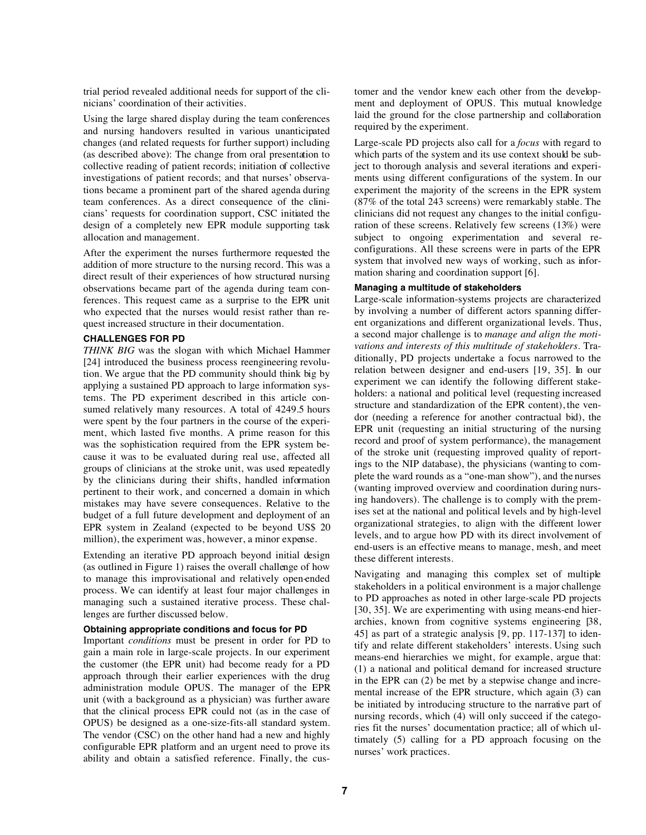trial period revealed additional needs for support of the clinicians' coordination of their activities.

Using the large shared display during the team conferences and nursing handovers resulted in various unanticipated changes (and related requests for further support) including (as described above): The change from oral presentation to collective reading of patient records; initiation of collective investigations of patient records; and that nurses' observations became a prominent part of the shared agenda during team conferences. As a direct consequence of the clinicians' requests for coordination support, CSC initiated the design of a completely new EPR module supporting task allocation and management.

After the experiment the nurses furthermore requested the addition of more structure to the nursing record. This was a direct result of their experiences of how structured nursing observations became part of the agenda during team conferences. This request came as a surprise to the EPR unit who expected that the nurses would resist rather than request increased structure in their documentation.

#### **CHALLENGES FOR PD**

*THINK BIG* was the slogan with which Michael Hammer [24] introduced the business process reengineering revolution. We argue that the PD community should think big by applying a sustained PD approach to large information systems. The PD experiment described in this article consumed relatively many resources. A total of 4249.5 hours were spent by the four partners in the course of the experiment, which lasted five months. A prime reason for this was the sophistication required from the EPR system because it was to be evaluated during real use, affected all groups of clinicians at the stroke unit, was used repeatedly by the clinicians during their shifts, handled information pertinent to their work, and concerned a domain in which mistakes may have severe consequences. Relative to the budget of a full future development and deployment of an EPR system in Zealand (expected to be beyond US\$ 20 million), the experiment was, however, a minor expense.

Extending an iterative PD approach beyond initial design (as outlined in Figure 1) raises the overall challenge of how to manage this improvisational and relatively open-ended process. We can identify at least four major challenges in managing such a sustained iterative process. These challenges are further discussed below.

## **Obtaining appropriate conditions and focus for PD**

Important *conditions* must be present in order for PD to gain a main role in large-scale projects. In our experiment the customer (the EPR unit) had become ready for a PD approach through their earlier experiences with the drug administration module OPUS. The manager of the EPR unit (with a background as a physician) was further aware that the clinical process EPR could not (as in the case of OPUS) be designed as a one-size-fits-all standard system. The vendor (CSC) on the other hand had a new and highly configurable EPR platform and an urgent need to prove its ability and obtain a satisfied reference. Finally, the cus-

tomer and the vendor knew each other from the development and deployment of OPUS. This mutual knowledge laid the ground for the close partnership and collaboration required by the experiment.

Large-scale PD projects also call for a *focus* with regard to which parts of the system and its use context should be subject to thorough analysis and several iterations and experiments using different configurations of the system. In our experiment the majority of the screens in the EPR system (87% of the total 243 screens) were remarkably stable. The clinicians did not request any changes to the initial configuration of these screens. Relatively few screens (13%) were subject to ongoing experimentation and several reconfigurations. All these screens were in parts of the EPR system that involved new ways of working, such as information sharing and coordination support [6].

## **Managing a multitude of stakeholders**

Large-scale information-systems projects are characterized by involving a number of different actors spanning different organizations and different organizational levels. Thus, a second major challenge is to *manage and align the motivations and interests of this multitude of stakeholders*. Traditionally, PD projects undertake a focus narrowed to the relation between designer and end-users [19, 35]. In our experiment we can identify the following different stakeholders: a national and political level (requesting increased structure and standardization of the EPR content), the vendor (needing a reference for another contractual bid), the EPR unit (requesting an initial structuring of the nursing record and proof of system performance), the management of the stroke unit (requesting improved quality of reportings to the NIP database), the physicians (wanting to complete the ward rounds as a "one-man show"), and the nurses (wanting improved overview and coordination during nursing handovers). The challenge is to comply with the premises set at the national and political levels and by high-level organizational strategies, to align with the different lower levels, and to argue how PD with its direct involvement of end-users is an effective means to manage, mesh, and meet these different interests.

Navigating and managing this complex set of multiple stakeholders in a political environment is a major challenge to PD approaches as noted in other large-scale PD projects [30, 35]. We are experimenting with using means-end hierarchies, known from cognitive systems engineering [38, 45] as part of a strategic analysis [9, pp. 117-137] to identify and relate different stakeholders' interests. Using such means-end hierarchies we might, for example, argue that: (1) a national and political demand for increased structure in the EPR can (2) be met by a stepwise change and incremental increase of the EPR structure, which again (3) can be initiated by introducing structure to the narrative part of nursing records, which (4) will only succeed if the categories fit the nurses' documentation practice; all of which ultimately (5) calling for a PD approach focusing on the nurses' work practices.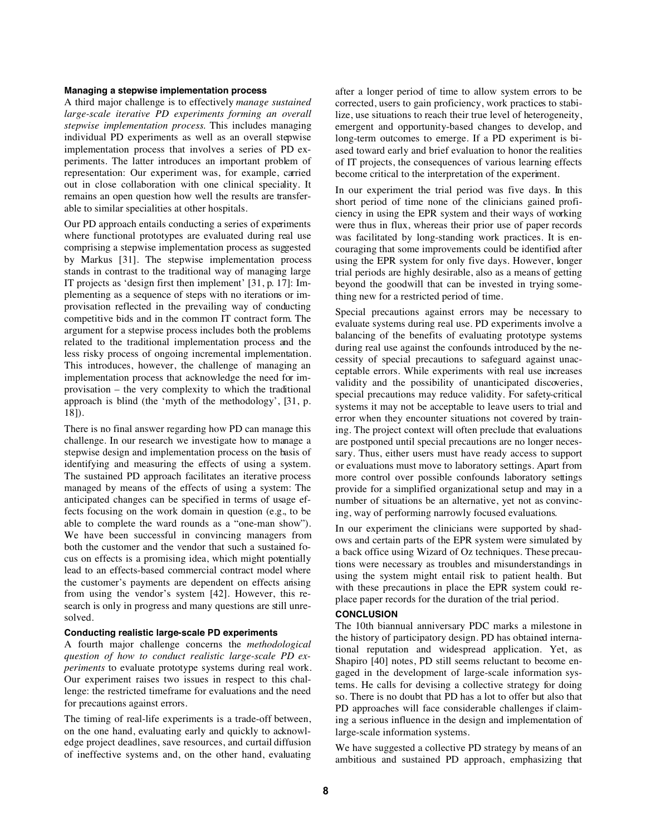#### **Managing a stepwise implementation process**

A third major challenge is to effectively *manage sustained large-scale iterative PD experiments forming an overall stepwise implementation process*. This includes managing individual PD experiments as well as an overall stepwise implementation process that involves a series of PD experiments. The latter introduces an important problem of representation: Our experiment was, for example, carried out in close collaboration with one clinical speciality. It remains an open question how well the results are transferable to similar specialities at other hospitals.

Our PD approach entails conducting a series of experiments where functional prototypes are evaluated during real use comprising a stepwise implementation process as suggested by Markus [31]. The stepwise implementation process stands in contrast to the traditional way of managing large IT projects as 'design first then implement' [31, p. 17]: Implementing as a sequence of steps with no iterations or improvisation reflected in the prevailing way of conducting competitive bids and in the common IT contract form. The argument for a stepwise process includes both the problems related to the traditional implementation process and the less risky process of ongoing incremental implementation. This introduces, however, the challenge of managing an implementation process that acknowledge the need for improvisation – the very complexity to which the traditional approach is blind (the 'myth of the methodology', [31, p. 18]).

There is no final answer regarding how PD can manage this challenge. In our research we investigate how to manage a stepwise design and implementation process on the basis of identifying and measuring the effects of using a system. The sustained PD approach facilitates an iterative process managed by means of the effects of using a system: The anticipated changes can be specified in terms of usage effects focusing on the work domain in question (e.g., to be able to complete the ward rounds as a "one-man show"). We have been successful in convincing managers from both the customer and the vendor that such a sustained focus on effects is a promising idea, which might potentially lead to an effects-based commercial contract model where the customer's payments are dependent on effects arising from using the vendor's system [42]. However, this research is only in progress and many questions are still unresolved.

# **Conducting realistic large-scale PD experiments**

A fourth major challenge concerns the *methodological question of how to conduct realistic large-scale PD experiments* to evaluate prototype systems during real work. Our experiment raises two issues in respect to this challenge: the restricted timeframe for evaluations and the need for precautions against errors.

The timing of real-life experiments is a trade-off between, on the one hand, evaluating early and quickly to acknowledge project deadlines, save resources, and curtail diffusion of ineffective systems and, on the other hand, evaluating

after a longer period of time to allow system errors to be corrected, users to gain proficiency, work practices to stabilize, use situations to reach their true level of heterogeneity, emergent and opportunity-based changes to develop, and long-term outcomes to emerge. If a PD experiment is biased toward early and brief evaluation to honor the realities of IT projects, the consequences of various learning effects become critical to the interpretation of the experiment.

In our experiment the trial period was five days. In this short period of time none of the clinicians gained proficiency in using the EPR system and their ways of working were thus in flux, whereas their prior use of paper records was facilitated by long-standing work practices. It is encouraging that some improvements could be identified after using the EPR system for only five days. However, longer trial periods are highly desirable, also as a means of getting beyond the goodwill that can be invested in trying something new for a restricted period of time.

Special precautions against errors may be necessary to evaluate systems during real use. PD experiments involve a balancing of the benefits of evaluating prototype systems during real use against the confounds introduced by the necessity of special precautions to safeguard against unacceptable errors. While experiments with real use increases validity and the possibility of unanticipated discoveries, special precautions may reduce validity. For safety-critical systems it may not be acceptable to leave users to trial and error when they encounter situations not covered by training. The project context will often preclude that evaluations are postponed until special precautions are no longer necessary. Thus, either users must have ready access to support or evaluations must move to laboratory settings. Apart from more control over possible confounds laboratory settings provide for a simplified organizational setup and may in a number of situations be an alternative, yet not as convincing, way of performing narrowly focused evaluations.

In our experiment the clinicians were supported by shadows and certain parts of the EPR system were simulated by a back office using Wizard of Oz techniques. These precautions were necessary as troubles and misunderstandings in using the system might entail risk to patient health. But with these precautions in place the EPR system could replace paper records for the duration of the trial period.

# **CONCLUSION**

The 10th biannual anniversary PDC marks a milestone in the history of participatory design. PD has obtained international reputation and widespread application. Yet, as Shapiro [40] notes, PD still seems reluctant to become engaged in the development of large-scale information systems. He calls for devising a collective strategy for doing so. There is no doubt that PD has a lot to offer but also that PD approaches will face considerable challenges if claiming a serious influence in the design and implementation of large-scale information systems.

We have suggested a collective PD strategy by means of an ambitious and sustained PD approach, emphasizing that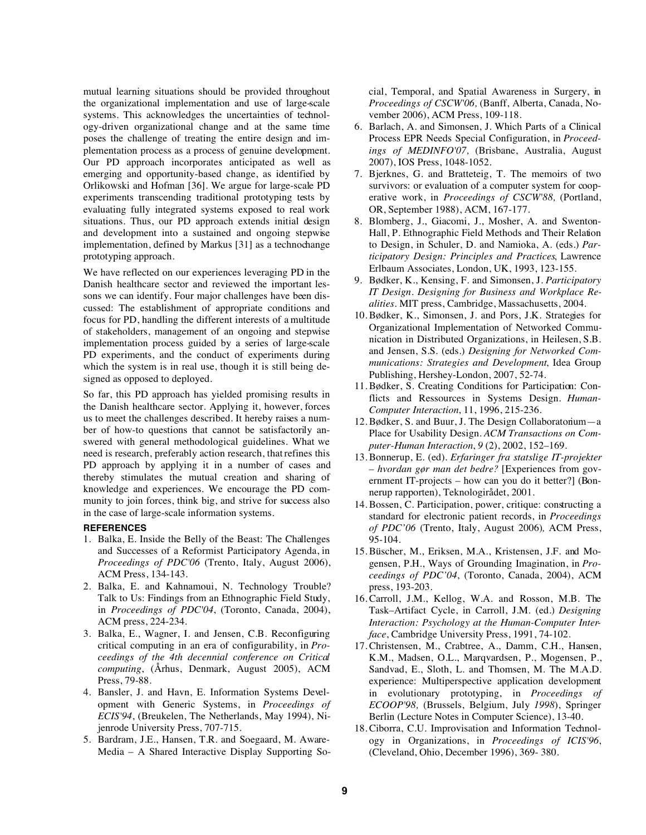mutual learning situations should be provided throughout the organizational implementation and use of large-scale systems. This acknowledges the uncertainties of technology-driven organizational change and at the same time poses the challenge of treating the entire design and implementation process as a process of genuine development. Our PD approach incorporates anticipated as well as emerging and opportunity-based change, as identified by Orlikowski and Hofman [36]. We argue for large-scale PD experiments transcending traditional prototyping tests by evaluating fully integrated systems exposed to real work situations. Thus, our PD approach extends initial design and development into a sustained and ongoing stepwise implementation, defined by Markus [31] as a technochange prototyping approach.

We have reflected on our experiences leveraging PD in the Danish healthcare sector and reviewed the important lessons we can identify. Four major challenges have been discussed: The establishment of appropriate conditions and focus for PD, handling the different interests of a multitude of stakeholders, management of an ongoing and stepwise implementation process guided by a series of large-scale PD experiments, and the conduct of experiments during which the system is in real use, though it is still being designed as opposed to deployed.

So far, this PD approach has yielded promising results in the Danish healthcare sector. Applying it, however, forces us to meet the challenges described. It hereby raises a number of how-to questions that cannot be satisfactorily answered with general methodological guidelines. What we need is research, preferably action research, that refines this PD approach by applying it in a number of cases and thereby stimulates the mutual creation and sharing of knowledge and experiences. We encourage the PD community to join forces, think big, and strive for success also in the case of large-scale information systems.

# **REFERENCES**

- 1. Balka, E. Inside the Belly of the Beast: The Challenges and Successes of a Reformist Participatory Agenda, in *Proceedings of PDC'06* (Trento, Italy, August 2006), ACM Press, 134-143.
- 2. Balka, E. and Kahnamoui, N. Technology Trouble? Talk to Us: Findings from an Ethnographic Field Study, in *Proceedings of PDC'04*, (Toronto, Canada, 2004), ACM press, 224-234.
- 3. Balka, E., Wagner, I. and Jensen, C.B. Reconfiguring critical computing in an era of configurability, in *Proceedings of the 4th decennial conference on Critical computing*, (Århus, Denmark, August 2005), ACM Press, 79-88.
- 4. Bansler, J. and Havn, E. Information Systems Development with Generic Systems, in *Proceedings of ECIS'94*, (Breukelen, The Netherlands, May 1994), Nijenrode University Press, 707-715.
- 5. Bardram, J.E., Hansen, T.R. and Soegaard, M. Aware-Media – A Shared Interactive Display Supporting So-

cial, Temporal, and Spatial Awareness in Surgery, in *Proceedings of CSCW'06,* (Banff, Alberta, Canada, November 2006), ACM Press, 109-118.

- 6. Barlach, A. and Simonsen, J. Which Parts of a Clinical Process EPR Needs Special Configuration, in *Proceedings of MEDINFO'07,* (Brisbane, Australia, August 2007), IOS Press, 1048-1052.
- 7. Bjerknes, G. and Bratteteig, T. The memoirs of two survivors: or evaluation of a computer system for cooperative work, in *Proceedings of CSCW'88,* (Portland, OR, September 1988), ACM, 167-177.
- 8. Blomberg, J., Giacomi, J., Mosher, A. and Swenton-Hall, P. Ethnographic Field Methods and Their Relation to Design, in Schuler, D. and Namioka, A. (eds.) *Participatory Design: Principles and Practices*, Lawrence Erlbaum Associates, London, UK, 1993, 123-155.
- 9. Bødker, K., Kensing, F. and Simonsen, J. *Participatory IT Design. Designing for Business and Workplace Realities*. MIT press, Cambridge, Massachusetts, 2004.
- 10. Bødker, K., Simonsen, J. and Pors, J.K. Strategies for Organizational Implementation of Networked Communication in Distributed Organizations, in Heilesen, S.B. and Jensen, S.S. (eds.) *Designing for Networked Communications: Strategies and Development*, Idea Group Publishing, Hershey-London, 2007, 52-74.
- 11. Bødker, S. Creating Conditions for Participation: Conflicts and Ressources in Systems Design. *Human-Computer Interaction*, 11, 1996, 215-236.
- 12. Bødker, S. and Buur, J. The Design Collaboratorium—a Place for Usability Design. *ACM Transactions on Computer-Human Interaction*, *9* (2), 2002, 152–169.
- 13. Bonnerup, E. (ed). *Erfaringer fra statslige IT-projekter – hvordan gør man det bedre?* [Experiences from government IT-projects – how can you do it better?] (Bonnerup rapporten), Teknologirådet, 2001.
- 14. Bossen, C. Participation, power, critique: constructing a standard for electronic patient records, in *Proceedings of PDC'06* (Trento, Italy, August 2006)*,* ACM Press, 95-104.
- 15. Büscher, M., Eriksen, M.A., Kristensen, J.F. and Mogensen, P.H., Ways of Grounding Imagination, in *Proceedings of PDC'04*, (Toronto, Canada, 2004), ACM press, 193-203.
- 16. Carroll, J.M., Kellog, W.A. and Rosson, M.B. The Task–Artifact Cycle, in Carroll, J.M. (ed.) *Designing Interaction: Psychology at the Human-Computer Interface*, Cambridge University Press, 1991, 74-102.
- 17. Christensen, M., Crabtree, A., Damm, C.H., Hansen, K.M., Madsen, O.L., Marqvardsen, P., Mogensen, P., Sandvad, E., Sloth, L. and Thomsen, M. The M.A.D. experience: Multiperspective application development in evolutionary prototyping, in *Proceedings of ECOOP'98,* (Brussels, Belgium, July *1998*), Springer Berlin (Lecture Notes in Computer Science), 13-40.
- 18. Ciborra, C.U. Improvisation and Information Technology in Organizations, in *Proceedings of ICIS'96*, (Cleveland, Ohio, December 1996), 369- 380.